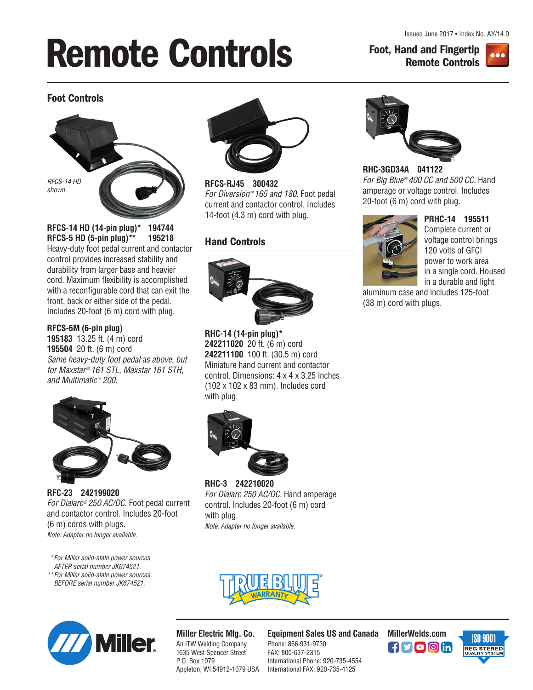*Issued June 2017 • Index No. AY/14.0*

# **Remote Controls Foot, Hand and Fingertip**

**Remote Controls**



## **Foot Controls**



**RFCS-14 HD (14-pin plug)\* 194744 RFCS-5 HD (5-pin plug)\*\* 195218** *Heavy-duty foot pedal current and contactor control provides increased stability and durability from larger base and heavier cord. Maximum flexibility is accomplished* with a reconfigurable cord that can exit the *front, back or either side of the pedal. Includes 20-foot (6 m) cord with plug.*

#### **RFCS-6M (6-pin plug)**

**195183** *13.25 ft. (4 m) cord* **195504** *20 ft. (6 m) cord Same heavy-duty foot pedal as above, but for Maxstar® 161 STL, Maxstar 161 STH, and Multimatic™ 200.*



**RFC-23 242199020** *For Dialarc® 250 AC/DC. Foot pedal current and contactor control. Includes 20-foot (6 m) cords with plugs. Note: Adapter no longer available.*

*\*For Miller solid-state power sources AFTER serial number JK674521. \*\*For Miller solid-state power sources BEFORE serial number JK674521.*



**RFCS-RJ45 300432** *For Diversion™ 165 and 180. Foot pedal current and contactor control. Includes 14-foot (4.3 m) cord with plug.*

## **Hand Controls**



**RHC-14 (14-pin plug)\* 242211020** *20 ft. (6 m) cord* **242211100** *100 ft. (30.5 m) cord Miniature hand current and contactor control. Dimensions: 4 x 4 x 3.25 inches (102 x 102 x 83 mm). Includes cord with plug.*



**RHC-3 242210020**  *For Dialarc 250 AC/DC. Hand amperage control. Includes 20-foot (6 m) cord with plug. Note: Adapter no longer available.*



**RHC-3GD34A 041122**  *For Big Blue® 400 CC and 500 CC. Hand amperage or voltage control. Includes 20-foot (6 m) cord with plug.*



**PRHC-14 195511**  *Complete current or voltage control brings 120 volts of GFCI power to work area in a single cord. Housed in a durable and light*

*aluminum case and includes 125-foot (38 m) cord with plugs.*





**Miller Electric Mfg. Co.** *An ITW Welding Company 1635 West Spencer Street P.O. Box 1079 Appleton, WI 54912-1079 USA* **Equipment Sales US and Canada MillerWelds.com**

*Phone: 866-931-9730 FAX: 800-637-2315 International Phone: 920-735-4554 International FAX: 920-735-4125*